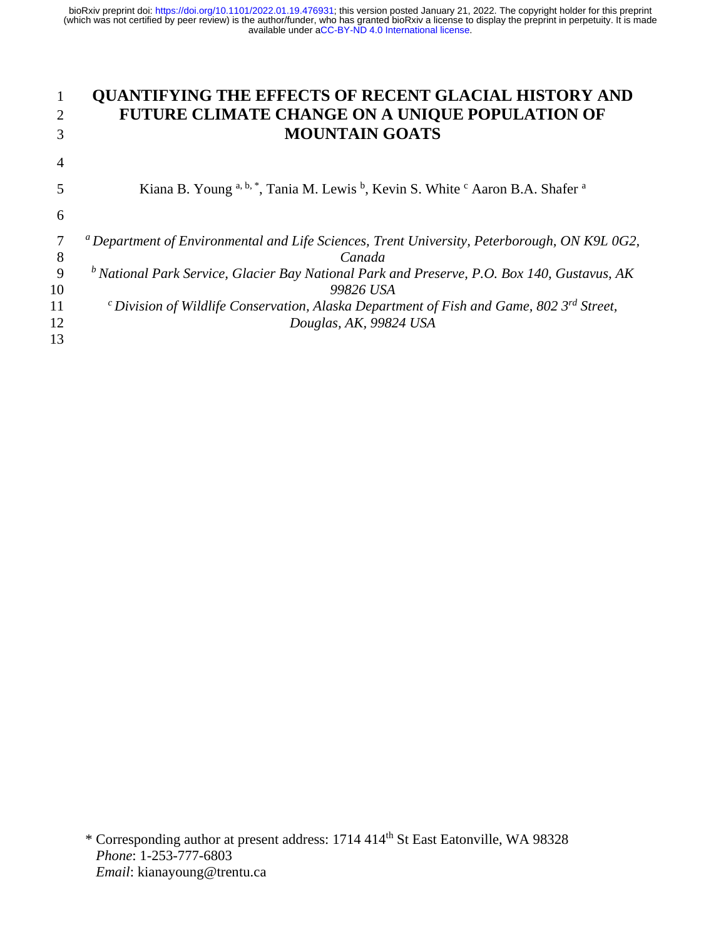|    | <b>QUANTIFYING THE EFFECTS OF RECENT GLACIAL HISTORY AND</b>                                             |
|----|----------------------------------------------------------------------------------------------------------|
| 2  | FUTURE CLIMATE CHANGE ON A UNIQUE POPULATION OF                                                          |
| 3  | <b>MOUNTAIN GOATS</b>                                                                                    |
| 4  |                                                                                                          |
| 5  | Kiana B. Young a, b, *, Tania M. Lewis b, Kevin S. White c Aaron B.A. Shafer a                           |
| 6  |                                                                                                          |
|    | <sup>a</sup> Department of Environmental and Life Sciences, Trent University, Peterborough, ON K9L 0G2,  |
| 8  | Canada                                                                                                   |
| 9  | $b$ National Park Service, Glacier Bay National Park and Preserve, P.O. Box 140, Gustavus, AK            |
| 10 | 99826 USA                                                                                                |
| 11 | <sup>c</sup> Division of Wildlife Conservation, Alaska Department of Fish and Game, 802 $3^{rd}$ Street, |
| 12 | Douglas, AK, 99824 USA                                                                                   |
| 13 |                                                                                                          |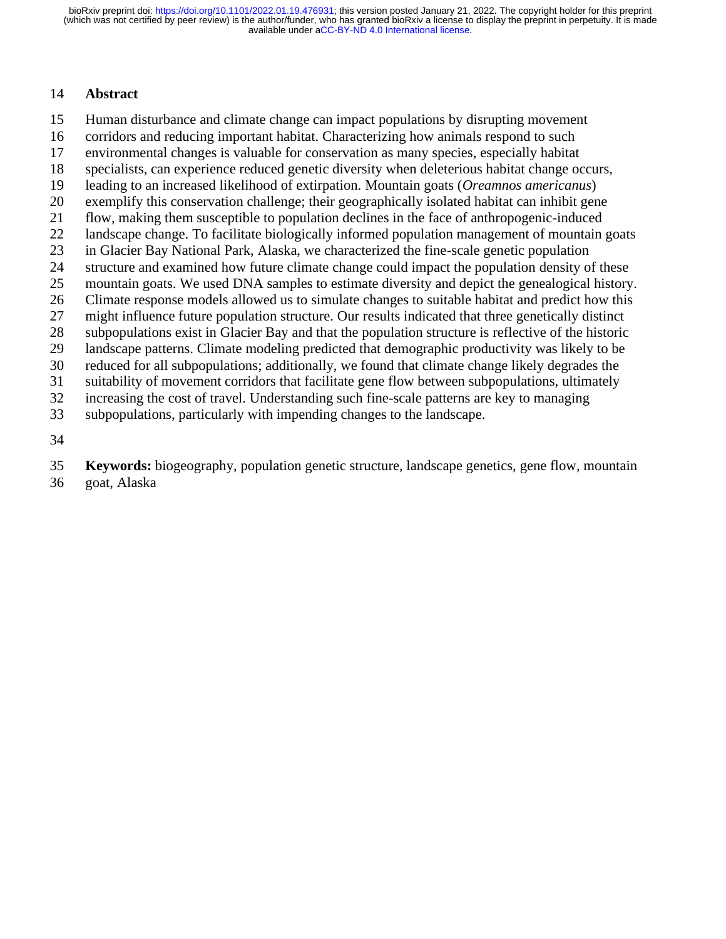### **Abstract**

- Human disturbance and climate change can impact populations by disrupting movement
- corridors and reducing important habitat. Characterizing how animals respond to such
- environmental changes is valuable for conservation as many species, especially habitat
- specialists, can experience reduced genetic diversity when deleterious habitat change occurs,
- leading to an increased likelihood of extirpation. Mountain goats (*Oreamnos americanus*)
- exemplify this conservation challenge; their geographically isolated habitat can inhibit gene
- flow, making them susceptible to population declines in the face of anthropogenic-induced
- landscape change. To facilitate biologically informed population management of mountain goats
- in Glacier Bay National Park, Alaska, we characterized the fine-scale genetic population
- structure and examined how future climate change could impact the population density of these
- mountain goats. We used DNA samples to estimate diversity and depict the genealogical history.
- Climate response models allowed us to simulate changes to suitable habitat and predict how this
- might influence future population structure. Our results indicated that three genetically distinct
- subpopulations exist in Glacier Bay and that the population structure is reflective of the historic
- landscape patterns. Climate modeling predicted that demographic productivity was likely to be
- reduced for all subpopulations; additionally, we found that climate change likely degrades the
- suitability of movement corridors that facilitate gene flow between subpopulations, ultimately
- increasing the cost of travel. Understanding such fine-scale patterns are key to managing
- subpopulations, particularly with impending changes to the landscape.
- 

**Keywords:** biogeography, population genetic structure, landscape genetics, gene flow, mountain

goat, Alaska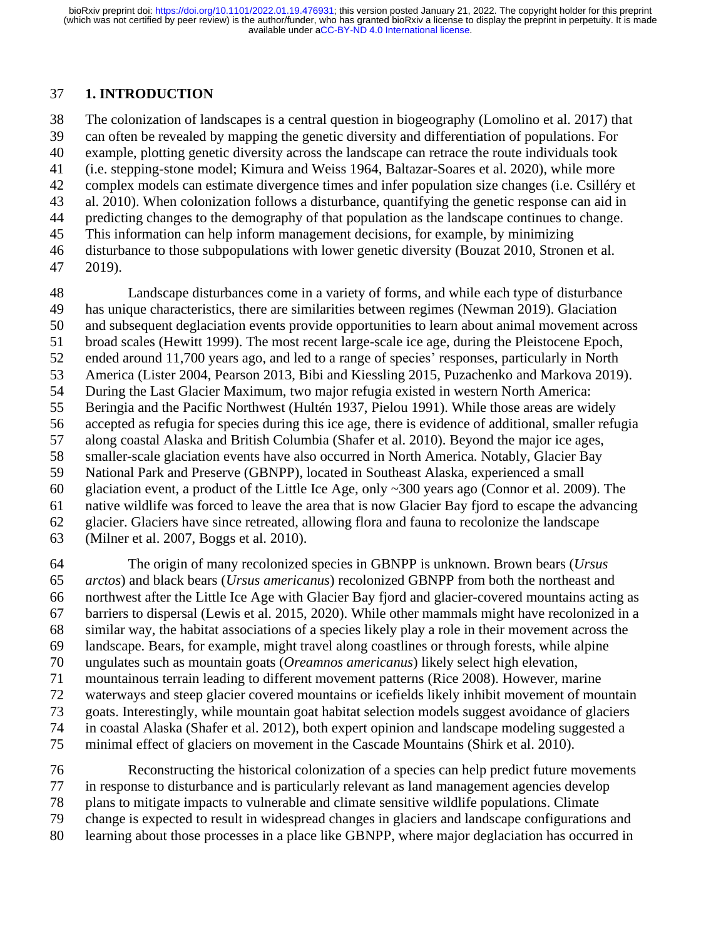### **1. INTRODUCTION**

 The colonization of landscapes is a central question in biogeography (Lomolino et al. 2017) that can often be revealed by mapping the genetic diversity and differentiation of populations. For example, plotting genetic diversity across the landscape can retrace the route individuals took (i.e. stepping-stone model; Kimura and Weiss 1964, Baltazar-Soares et al. 2020), while more complex models can estimate divergence times and infer population size changes (i.e. Csilléry et al. 2010). When colonization follows a disturbance, quantifying the genetic response can aid in predicting changes to the demography of that population as the landscape continues to change. This information can help inform management decisions, for example, by minimizing disturbance to those subpopulations with lower genetic diversity (Bouzat 2010, Stronen et al. 2019).

 Landscape disturbances come in a variety of forms, and while each type of disturbance has unique characteristics, there are similarities between regimes (Newman 2019). Glaciation and subsequent deglaciation events provide opportunities to learn about animal movement across broad scales (Hewitt 1999). The most recent large-scale ice age, during the Pleistocene Epoch, ended around 11,700 years ago, and led to a range of species' responses, particularly in North America (Lister 2004, Pearson 2013, Bibi and Kiessling 2015, Puzachenko and Markova 2019). During the Last Glacier Maximum, two major refugia existed in western North America: Beringia and the Pacific Northwest (Hultén 1937, Pielou 1991). While those areas are widely accepted as refugia for species during this ice age, there is evidence of additional, smaller refugia along coastal Alaska and British Columbia (Shafer et al. 2010). Beyond the major ice ages, smaller-scale glaciation events have also occurred in North America. Notably, Glacier Bay National Park and Preserve (GBNPP), located in Southeast Alaska, experienced a small glaciation event, a product of the Little Ice Age, only ~300 years ago (Connor et al. 2009). The native wildlife was forced to leave the area that is now Glacier Bay fjord to escape the advancing glacier. Glaciers have since retreated, allowing flora and fauna to recolonize the landscape (Milner et al. 2007, Boggs et al. 2010).

 The origin of many recolonized species in GBNPP is unknown. Brown bears (*Ursus arctos*) and black bears (*Ursus americanus*) recolonized GBNPP from both the northeast and northwest after the Little Ice Age with Glacier Bay fjord and glacier-covered mountains acting as barriers to dispersal (Lewis et al. 2015, 2020). While other mammals might have recolonized in a similar way, the habitat associations of a species likely play a role in their movement across the landscape. Bears, for example, might travel along coastlines or through forests, while alpine ungulates such as mountain goats (*Oreamnos americanus*) likely select high elevation, mountainous terrain leading to different movement patterns (Rice 2008). However, marine waterways and steep glacier covered mountains or icefields likely inhibit movement of mountain goats. Interestingly, while mountain goat habitat selection models suggest avoidance of glaciers in coastal Alaska (Shafer et al. 2012), both expert opinion and landscape modeling suggested a minimal effect of glaciers on movement in the Cascade Mountains (Shirk et al. 2010).

 Reconstructing the historical colonization of a species can help predict future movements in response to disturbance and is particularly relevant as land management agencies develop plans to mitigate impacts to vulnerable and climate sensitive wildlife populations. Climate change is expected to result in widespread changes in glaciers and landscape configurations and learning about those processes in a place like GBNPP, where major deglaciation has occurred in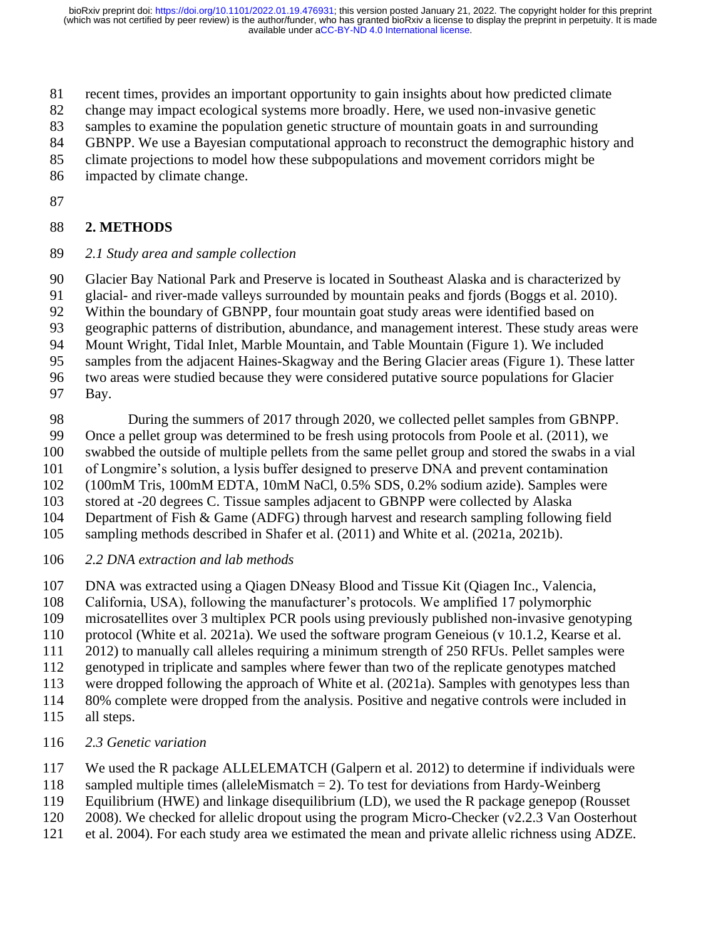- recent times, provides an important opportunity to gain insights about how predicted climate
- change may impact ecological systems more broadly. Here, we used non-invasive genetic
- samples to examine the population genetic structure of mountain goats in and surrounding
- GBNPP. We use a Bayesian computational approach to reconstruct the demographic history and
- climate projections to model how these subpopulations and movement corridors might be
- impacted by climate change.
- 

### **2. METHODS**

*2.1 Study area and sample collection*

Glacier Bay National Park and Preserve is located in Southeast Alaska and is characterized by

glacial- and river-made valleys surrounded by mountain peaks and fjords (Boggs et al. 2010).

Within the boundary of GBNPP, four mountain goat study areas were identified based on

geographic patterns of distribution, abundance, and management interest. These study areas were

- Mount Wright, Tidal Inlet, Marble Mountain, and Table Mountain (Figure 1). We included
- samples from the adjacent Haines-Skagway and the Bering Glacier areas (Figure 1). These latter
- two areas were studied because they were considered putative source populations for Glacier
- Bay.

During the summers of 2017 through 2020, we collected pellet samples from GBNPP.

Once a pellet group was determined to be fresh using protocols from Poole et al. (2011), we

swabbed the outside of multiple pellets from the same pellet group and stored the swabs in a vial

of Longmire's solution, a lysis buffer designed to preserve DNA and prevent contamination

(100mM Tris, 100mM EDTA, 10mM NaCl, 0.5% SDS, 0.2% sodium azide). Samples were

stored at -20 degrees C. Tissue samples adjacent to GBNPP were collected by Alaska

Department of Fish & Game (ADFG) through harvest and research sampling following field

sampling methods described in Shafer et al. (2011) and White et al. (2021a, 2021b).

- *2.2 DNA extraction and lab methods*
- DNA was extracted using a Qiagen DNeasy Blood and Tissue Kit (Qiagen Inc., Valencia,
- California, USA), following the manufacturer's protocols. We amplified 17 polymorphic
- microsatellites over 3 multiplex PCR pools using previously published non-invasive genotyping

protocol (White et al. 2021a). We used the software program Geneious (v 10.1.2, Kearse et al.

- 2012) to manually call alleles requiring a minimum strength of 250 RFUs. Pellet samples were
- genotyped in triplicate and samples where fewer than two of the replicate genotypes matched
- were dropped following the approach of White et al. (2021a). Samples with genotypes less than

80% complete were dropped from the analysis. Positive and negative controls were included in

- all steps.
- *2.3 Genetic variation*

We used the R package ALLELEMATCH (Galpern et al. 2012) to determine if individuals were

- sampled multiple times (alleleMismatch = 2). To test for deviations from Hardy-Weinberg
- Equilibrium (HWE) and linkage disequilibrium (LD), we used the R package genepop (Rousset
- 2008). We checked for allelic dropout using the program Micro-Checker (v2.2.3 Van Oosterhout
- et al. 2004). For each study area we estimated the mean and private allelic richness using ADZE.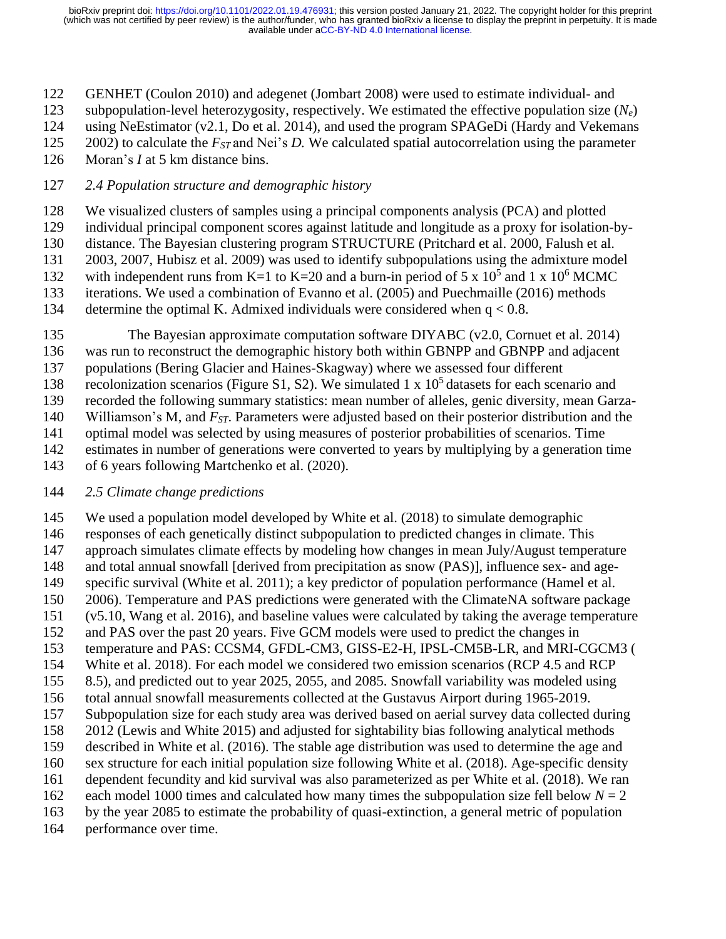GENHET (Coulon 2010) and adegenet (Jombart 2008) were used to estimate individual- and

subpopulation-level heterozygosity, respectively. We estimated the effective population size (*Ne*)

using NeEstimator (v2.1, Do et al. 2014), and used the program SPAGeDi (Hardy and Vekemans

2002) to calculate the *FST* and Nei's *D.* We calculated spatial autocorrelation using the parameter

Moran's *I* at 5 km distance bins.

### *2.4 Population structure and demographic history*

We visualized clusters of samples using a principal components analysis (PCA) and plotted

individual principal component scores against latitude and longitude as a proxy for isolation-by-

distance. The Bayesian clustering program STRUCTURE (Pritchard et al. 2000, Falush et al.

2003, 2007, Hubisz et al. 2009) was used to identify subpopulations using the admixture model

132 with independent runs from K=1 to K=20 and a burn-in period of 5 x  $10^5$  and 1 x  $10^6$  MCMC iterations. We used a combination of Evanno et al. (2005) and Puechmaille (2016) methods

134 determine the optimal K. Admixed individuals were considered when  $q < 0.8$ .

The Bayesian approximate computation software DIYABC (v2.0, Cornuet et al. 2014)

was run to reconstruct the demographic history both within GBNPP and GBNPP and adjacent

populations (Bering Glacier and Haines-Skagway) where we assessed four different

138 recolonization scenarios (Figure S1, S2). We simulated 1 x  $10<sup>5</sup>$  datasets for each scenario and

recorded the following summary statistics: mean number of alleles, genic diversity, mean Garza-

Williamson's M, and *FST*. Parameters were adjusted based on their posterior distribution and the

 optimal model was selected by using measures of posterior probabilities of scenarios. Time estimates in number of generations were converted to years by multiplying by a generation time

of 6 years following Martchenko et al. (2020).

## *2.5 Climate change predictions*

 We used a population model developed by White et al. (2018) to simulate demographic responses of each genetically distinct subpopulation to predicted changes in climate. This approach simulates climate effects by modeling how changes in mean July/August temperature and total annual snowfall [derived from precipitation as snow (PAS)], influence sex- and age- specific survival (White et al. 2011); a key predictor of population performance (Hamel et al. 2006). Temperature and PAS predictions were generated with the ClimateNA software package (v5.10, Wang et al. 2016), and baseline values were calculated by taking the average temperature and PAS over the past 20 years. Five GCM models were used to predict the changes in temperature and PAS: CCSM4, GFDL-CM3, GISS-E2-H, IPSL-CM5B-LR, and MRI-CGCM3 ( White et al. 2018). For each model we considered two emission scenarios (RCP 4.5 and RCP 8.5), and predicted out to year 2025, 2055, and 2085. Snowfall variability was modeled using total annual snowfall measurements collected at the Gustavus Airport during 1965-2019. Subpopulation size for each study area was derived based on aerial survey data collected during 2012 (Lewis and White 2015) and adjusted for sightability bias following analytical methods described in White et al. (2016). The stable age distribution was used to determine the age and sex structure for each initial population size following White et al. (2018). Age-specific density dependent fecundity and kid survival was also parameterized as per White et al. (2018). We ran 162 each model 1000 times and calculated how many times the subpopulation size fell below  $N = 2$  by the year 2085 to estimate the probability of quasi-extinction, a general metric of population performance over time.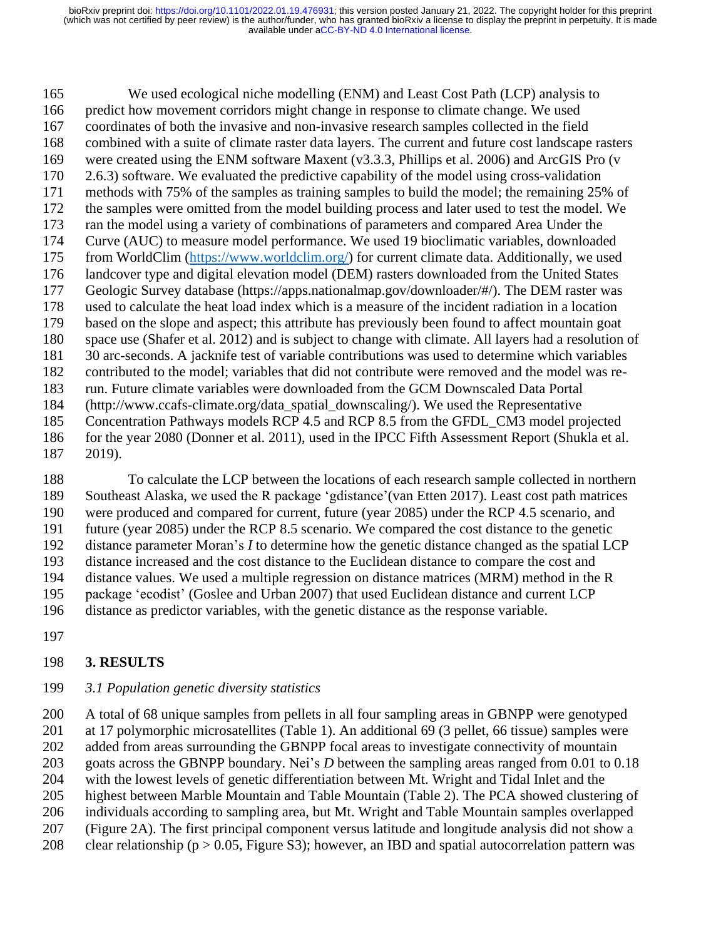We used ecological niche modelling (ENM) and Least Cost Path (LCP) analysis to predict how movement corridors might change in response to climate change. We used coordinates of both the invasive and non-invasive research samples collected in the field combined with a suite of climate raster data layers. The current and future cost landscape rasters were created using the ENM software Maxent (v3.3.3, Phillips et al. 2006) and ArcGIS Pro (v 2.6.3) software. We evaluated the predictive capability of the model using cross-validation methods with 75% of the samples as training samples to build the model; the remaining 25% of the samples were omitted from the model building process and later used to test the model. We ran the model using a variety of combinations of parameters and compared Area Under the Curve (AUC) to measure model performance. We used 19 bioclimatic variables, downloaded from WorldClim [\(https://www.worldclim.org/\)](https://www.worldclim.org/) for current climate data. Additionally, we used landcover type and digital elevation model (DEM) rasters downloaded from the United States Geologic Survey database (https://apps.nationalmap.gov/downloader/#/). The DEM raster was used to calculate the heat load index which is a measure of the incident radiation in a location based on the slope and aspect; this attribute has previously been found to affect mountain goat space use (Shafer et al. 2012) and is subject to change with climate. All layers had a resolution of 30 arc-seconds. A jacknife test of variable contributions was used to determine which variables contributed to the model; variables that did not contribute were removed and the model was re- run. Future climate variables were downloaded from the GCM Downscaled Data Portal (http://www.ccafs-climate.org/data\_spatial\_downscaling/). We used the Representative Concentration Pathways models RCP 4.5 and RCP 8.5 from the GFDL\_CM3 model projected for the year 2080 (Donner et al. 2011), used in the IPCC Fifth Assessment Report (Shukla et al. 2019).

 To calculate the LCP between the locations of each research sample collected in northern Southeast Alaska, we used the R package 'gdistance'(van Etten 2017). Least cost path matrices were produced and compared for current, future (year 2085) under the RCP 4.5 scenario, and future (year 2085) under the RCP 8.5 scenario. We compared the cost distance to the genetic distance parameter Moran's *I* to determine how the genetic distance changed as the spatial LCP distance increased and the cost distance to the Euclidean distance to compare the cost and distance values. We used a multiple regression on distance matrices (MRM) method in the R package 'ecodist' (Goslee and Urban 2007) that used Euclidean distance and current LCP distance as predictor variables, with the genetic distance as the response variable.

## **3. RESULTS**

### *3.1 Population genetic diversity statistics*

 A total of 68 unique samples from pellets in all four sampling areas in GBNPP were genotyped at 17 polymorphic microsatellites (Table 1). An additional 69 (3 pellet, 66 tissue) samples were added from areas surrounding the GBNPP focal areas to investigate connectivity of mountain goats across the GBNPP boundary. Nei's *D* between the sampling areas ranged from 0.01 to 0.18 with the lowest levels of genetic differentiation between Mt. Wright and Tidal Inlet and the highest between Marble Mountain and Table Mountain (Table 2). The PCA showed clustering of individuals according to sampling area, but Mt. Wright and Table Mountain samples overlapped (Figure 2A). The first principal component versus latitude and longitude analysis did not show a 208 clear relationship ( $p > 0.05$ , Figure S3); however, an IBD and spatial autocorrelation pattern was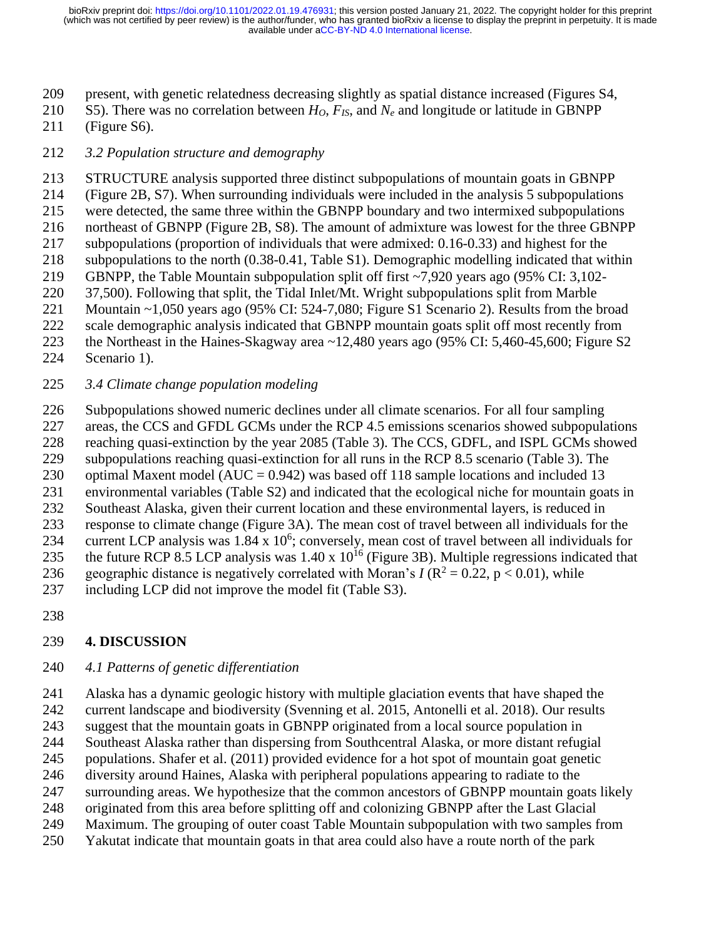- present, with genetic relatedness decreasing slightly as spatial distance increased (Figures S4,
- S5). There was no correlation between *HO*, *FIS*, and *N<sup>e</sup>* and longitude or latitude in GBNPP
- (Figure S6).
- *3.2 Population structure and demography*
- STRUCTURE analysis supported three distinct subpopulations of mountain goats in GBNPP
- (Figure 2B, S7). When surrounding individuals were included in the analysis 5 subpopulations
- were detected, the same three within the GBNPP boundary and two intermixed subpopulations
- northeast of GBNPP (Figure 2B, S8). The amount of admixture was lowest for the three GBNPP
- subpopulations (proportion of individuals that were admixed: 0.16-0.33) and highest for the
- subpopulations to the north (0.38-0.41, Table S1). Demographic modelling indicated that within GBNPP, the Table Mountain subpopulation split off first ~7,920 years ago (95% CI: 3,102-
- 37,500). Following that split, the Tidal Inlet/Mt. Wright subpopulations split from Marble
- Mountain ~1,050 years ago (95% CI: 524-7,080; Figure S1 Scenario 2). Results from the broad
- scale demographic analysis indicated that GBNPP mountain goats split off most recently from
- the Northeast in the Haines-Skagway area ~12,480 years ago (95% CI: 5,460-45,600; Figure S2
- Scenario 1).
- *3.4 Climate change population modeling*
- Subpopulations showed numeric declines under all climate scenarios. For all four sampling
- areas, the CCS and GFDL GCMs under the RCP 4.5 emissions scenarios showed subpopulations
- reaching quasi-extinction by the year 2085 (Table 3). The CCS, GDFL, and ISPL GCMs showed
- subpopulations reaching quasi-extinction for all runs in the RCP 8.5 scenario (Table 3). The
- optimal Maxent model (AUC = 0.942) was based off 118 sample locations and included 13
- environmental variables (Table S2) and indicated that the ecological niche for mountain goats in
- Southeast Alaska, given their current location and these environmental layers, is reduced in response to climate change (Figure 3A). The mean cost of travel between all individuals for the
- 234 current LCP analysis was  $1.84 \times 10^6$ ; conversely, mean cost of travel between all individuals for
- 235 the future RCP 8.5 LCP analysis was  $1.40 \times 10^{16}$  (Figure 3B). Multiple regressions indicated that
- 236 geographic distance is negatively correlated with Moran's  $I (R^2 = 0.22, p < 0.01)$ , while
- including LCP did not improve the model fit (Table S3).
- 

# **4. DISCUSSION**

## *4.1 Patterns of genetic differentiation*

 Alaska has a dynamic geologic history with multiple glaciation events that have shaped the current landscape and biodiversity (Svenning et al. 2015, Antonelli et al. 2018). Our results

- suggest that the mountain goats in GBNPP originated from a local source population in
- Southeast Alaska rather than dispersing from Southcentral Alaska, or more distant refugial
- populations. Shafer et al. (2011) provided evidence for a hot spot of mountain goat genetic
- diversity around Haines, Alaska with peripheral populations appearing to radiate to the
- surrounding areas. We hypothesize that the common ancestors of GBNPP mountain goats likely
- originated from this area before splitting off and colonizing GBNPP after the Last Glacial
- Maximum. The grouping of outer coast Table Mountain subpopulation with two samples from
- Yakutat indicate that mountain goats in that area could also have a route north of the park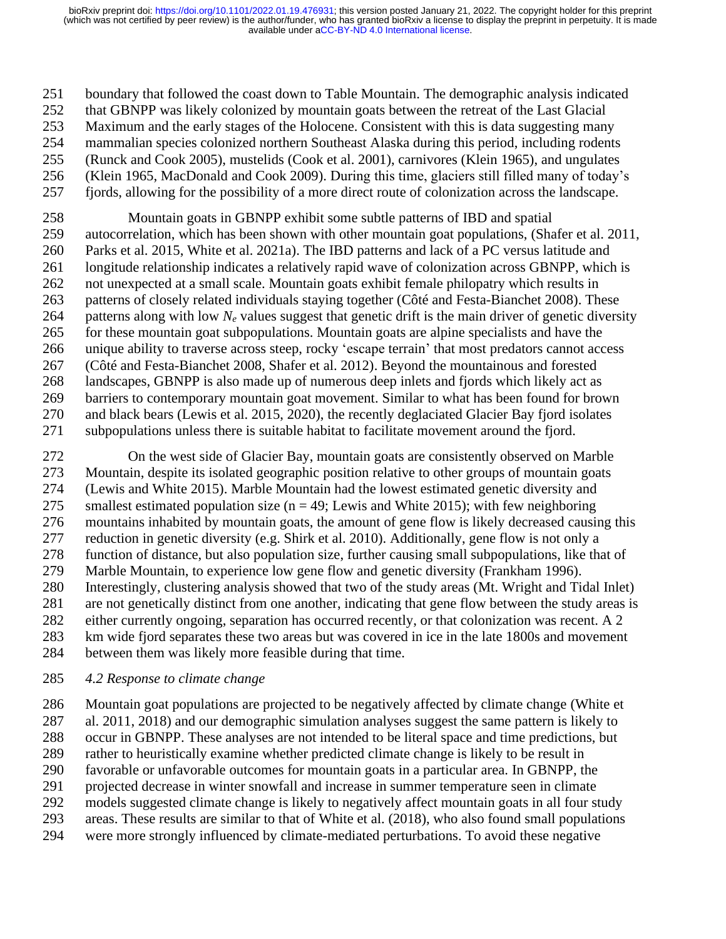boundary that followed the coast down to Table Mountain. The demographic analysis indicated that GBNPP was likely colonized by mountain goats between the retreat of the Last Glacial Maximum and the early stages of the Holocene. Consistent with this is data suggesting many mammalian species colonized northern Southeast Alaska during this period, including rodents (Runck and Cook 2005), mustelids (Cook et al. 2001), carnivores (Klein 1965), and ungulates

 (Klein 1965, MacDonald and Cook 2009). During this time, glaciers still filled many of today's fjords, allowing for the possibility of a more direct route of colonization across the landscape.

 Mountain goats in GBNPP exhibit some subtle patterns of IBD and spatial autocorrelation, which has been shown with other mountain goat populations, (Shafer et al. 2011, Parks et al. 2015, White et al. 2021a). The IBD patterns and lack of a PC versus latitude and longitude relationship indicates a relatively rapid wave of colonization across GBNPP, which is not unexpected at a small scale. Mountain goats exhibit female philopatry which results in patterns of closely related individuals staying together (Côté and Festa-Bianchet 2008). These 264 patterns along with low  $N_e$  values suggest that genetic drift is the main driver of genetic diversity for these mountain goat subpopulations. Mountain goats are alpine specialists and have the unique ability to traverse across steep, rocky 'escape terrain' that most predators cannot access (Côté and Festa-Bianchet 2008, Shafer et al. 2012). Beyond the mountainous and forested landscapes, GBNPP is also made up of numerous deep inlets and fjords which likely act as barriers to contemporary mountain goat movement. Similar to what has been found for brown and black bears (Lewis et al. 2015, 2020), the recently deglaciated Glacier Bay fjord isolates subpopulations unless there is suitable habitat to facilitate movement around the fjord.

 On the west side of Glacier Bay, mountain goats are consistently observed on Marble Mountain, despite its isolated geographic position relative to other groups of mountain goats (Lewis and White 2015). Marble Mountain had the lowest estimated genetic diversity and 275 smallest estimated population size  $(n = 49)$ ; Lewis and White 2015); with few neighboring mountains inhabited by mountain goats, the amount of gene flow is likely decreased causing this reduction in genetic diversity (e.g. Shirk et al. 2010). Additionally, gene flow is not only a function of distance, but also population size, further causing small subpopulations, like that of Marble Mountain, to experience low gene flow and genetic diversity (Frankham 1996). Interestingly, clustering analysis showed that two of the study areas (Mt. Wright and Tidal Inlet) are not genetically distinct from one another, indicating that gene flow between the study areas is either currently ongoing, separation has occurred recently, or that colonization was recent. A 2 km wide fjord separates these two areas but was covered in ice in the late 1800s and movement between them was likely more feasible during that time.

## *4.2 Response to climate change*

 Mountain goat populations are projected to be negatively affected by climate change (White et al. 2011, 2018) and our demographic simulation analyses suggest the same pattern is likely to occur in GBNPP. These analyses are not intended to be literal space and time predictions, but rather to heuristically examine whether predicted climate change is likely to be result in favorable or unfavorable outcomes for mountain goats in a particular area. In GBNPP, the projected decrease in winter snowfall and increase in summer temperature seen in climate models suggested climate change is likely to negatively affect mountain goats in all four study areas. These results are similar to that of White et al. (2018), who also found small populations were more strongly influenced by climate-mediated perturbations. To avoid these negative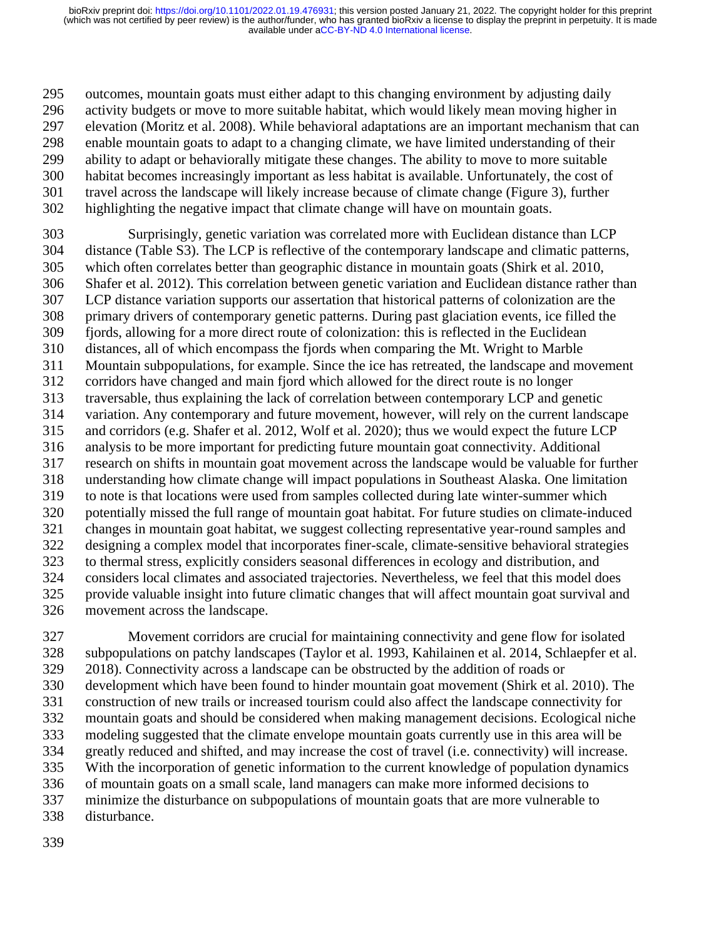outcomes, mountain goats must either adapt to this changing environment by adjusting daily activity budgets or move to more suitable habitat, which would likely mean moving higher in elevation (Moritz et al. 2008). While behavioral adaptations are an important mechanism that can enable mountain goats to adapt to a changing climate, we have limited understanding of their ability to adapt or behaviorally mitigate these changes. The ability to move to more suitable habitat becomes increasingly important as less habitat is available. Unfortunately, the cost of travel across the landscape will likely increase because of climate change (Figure 3), further highlighting the negative impact that climate change will have on mountain goats.

 Surprisingly, genetic variation was correlated more with Euclidean distance than LCP distance (Table S3). The LCP is reflective of the contemporary landscape and climatic patterns, which often correlates better than geographic distance in mountain goats (Shirk et al. 2010, Shafer et al. 2012). This correlation between genetic variation and Euclidean distance rather than LCP distance variation supports our assertation that historical patterns of colonization are the primary drivers of contemporary genetic patterns. During past glaciation events, ice filled the fjords, allowing for a more direct route of colonization: this is reflected in the Euclidean distances, all of which encompass the fjords when comparing the Mt. Wright to Marble Mountain subpopulations, for example. Since the ice has retreated, the landscape and movement corridors have changed and main fjord which allowed for the direct route is no longer traversable, thus explaining the lack of correlation between contemporary LCP and genetic variation. Any contemporary and future movement, however, will rely on the current landscape and corridors (e.g. Shafer et al. 2012, Wolf et al. 2020); thus we would expect the future LCP analysis to be more important for predicting future mountain goat connectivity. Additional research on shifts in mountain goat movement across the landscape would be valuable for further understanding how climate change will impact populations in Southeast Alaska. One limitation to note is that locations were used from samples collected during late winter-summer which potentially missed the full range of mountain goat habitat. For future studies on climate-induced changes in mountain goat habitat, we suggest collecting representative year-round samples and designing a complex model that incorporates finer-scale, climate-sensitive behavioral strategies to thermal stress, explicitly considers seasonal differences in ecology and distribution, and considers local climates and associated trajectories. Nevertheless, we feel that this model does provide valuable insight into future climatic changes that will affect mountain goat survival and movement across the landscape.

 Movement corridors are crucial for maintaining connectivity and gene flow for isolated subpopulations on patchy landscapes (Taylor et al. 1993, Kahilainen et al. 2014, Schlaepfer et al. 2018). Connectivity across a landscape can be obstructed by the addition of roads or development which have been found to hinder mountain goat movement (Shirk et al. 2010). The construction of new trails or increased tourism could also affect the landscape connectivity for mountain goats and should be considered when making management decisions. Ecological niche modeling suggested that the climate envelope mountain goats currently use in this area will be greatly reduced and shifted, and may increase the cost of travel (i.e. connectivity) will increase. With the incorporation of genetic information to the current knowledge of population dynamics of mountain goats on a small scale, land managers can make more informed decisions to minimize the disturbance on subpopulations of mountain goats that are more vulnerable to disturbance.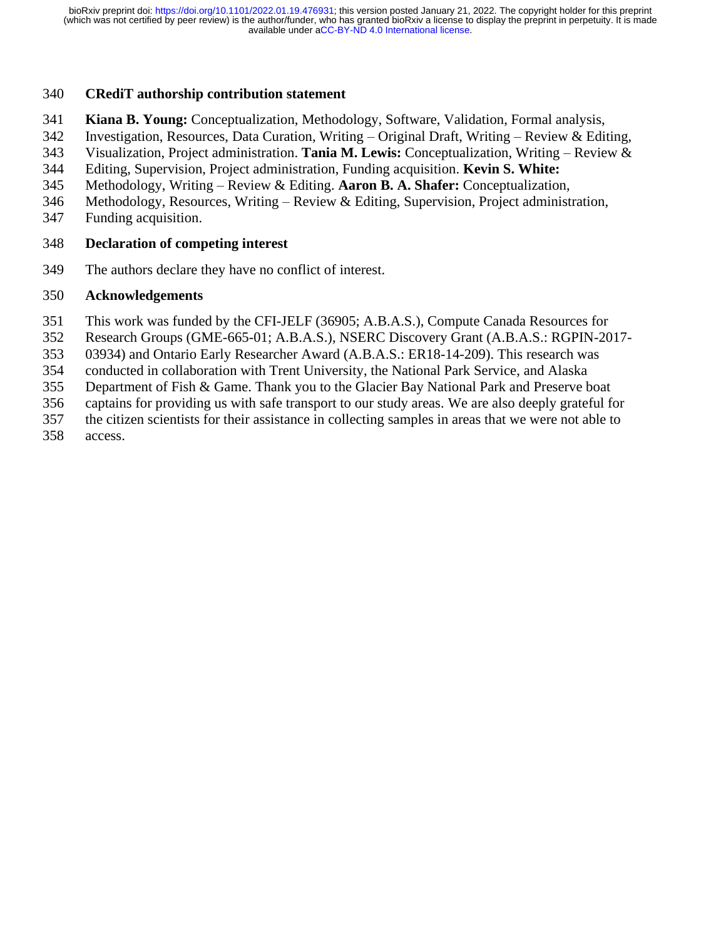### **CRediT authorship contribution statement**

- **Kiana B. Young:** Conceptualization, Methodology, Software, Validation, Formal analysis,
- Investigation, Resources, Data Curation, Writing Original Draft, Writing Review & Editing,
- Visualization, Project administration. **Tania M. Lewis:** Conceptualization, Writing Review &
- Editing, Supervision, Project administration, Funding acquisition. **Kevin S. White:**
- Methodology, Writing Review & Editing. **Aaron B. A. Shafer:** Conceptualization,
- Methodology, Resources, Writing Review & Editing, Supervision, Project administration,
- Funding acquisition.

### **Declaration of competing interest**

The authors declare they have no conflict of interest.

### **Acknowledgements**

- This work was funded by the CFI-JELF (36905; A.B.A.S.), Compute Canada Resources for
- Research Groups (GME-665-01; A.B.A.S.), NSERC Discovery Grant (A.B.A.S.: RGPIN-2017-
- 03934) and Ontario Early Researcher Award (A.B.A.S.: ER18-14-209). This research was
- conducted in collaboration with Trent University, the National Park Service, and Alaska
- Department of Fish & Game. Thank you to the Glacier Bay National Park and Preserve boat
- captains for providing us with safe transport to our study areas. We are also deeply grateful for
- the citizen scientists for their assistance in collecting samples in areas that we were not able to
- access.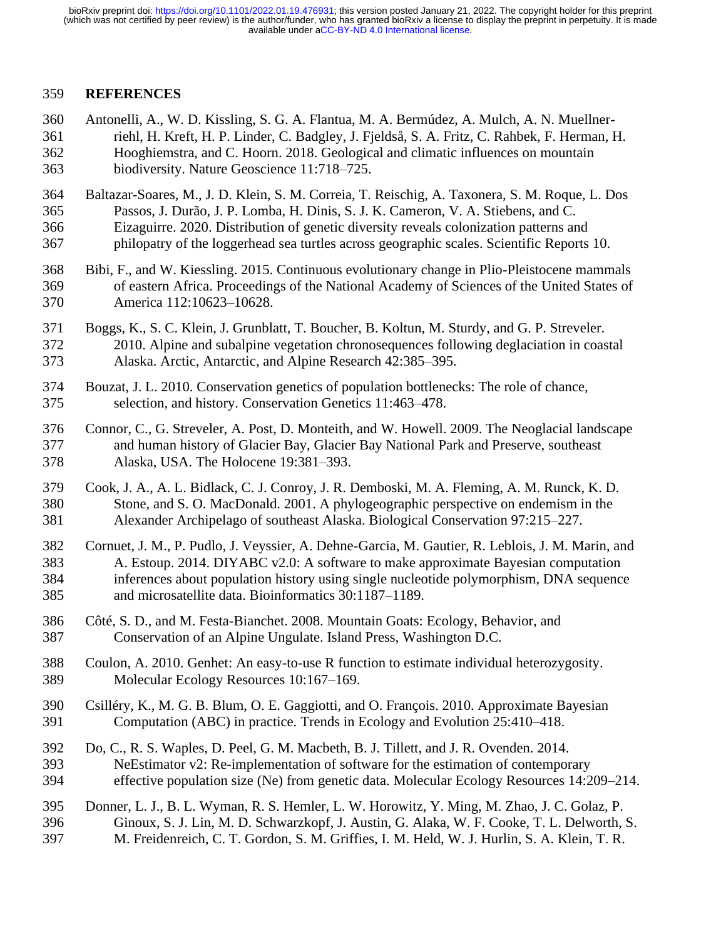#### **REFERENCES**

- Antonelli, A., W. D. Kissling, S. G. A. Flantua, M. A. Bermúdez, A. Mulch, A. N. Muellner- riehl, H. Kreft, H. P. Linder, C. Badgley, J. Fjeldså, S. A. Fritz, C. Rahbek, F. Herman, H. Hooghiemstra, and C. Hoorn. 2018. Geological and climatic influences on mountain biodiversity. Nature Geoscience 11:718–725.
- Baltazar-Soares, M., J. D. Klein, S. M. Correia, T. Reischig, A. Taxonera, S. M. Roque, L. Dos Passos, J. Durão, J. P. Lomba, H. Dinis, S. J. K. Cameron, V. A. Stiebens, and C. Eizaguirre. 2020. Distribution of genetic diversity reveals colonization patterns and philopatry of the loggerhead sea turtles across geographic scales. Scientific Reports 10.
- Bibi, F., and W. Kiessling. 2015. Continuous evolutionary change in Plio-Pleistocene mammals of eastern Africa. Proceedings of the National Academy of Sciences of the United States of America 112:10623–10628.
- Boggs, K., S. C. Klein, J. Grunblatt, T. Boucher, B. Koltun, M. Sturdy, and G. P. Streveler. 2010. Alpine and subalpine vegetation chronosequences following deglaciation in coastal Alaska. Arctic, Antarctic, and Alpine Research 42:385–395.
- Bouzat, J. L. 2010. Conservation genetics of population bottlenecks: The role of chance, selection, and history. Conservation Genetics 11:463–478.
- Connor, C., G. Streveler, A. Post, D. Monteith, and W. Howell. 2009. The Neoglacial landscape and human history of Glacier Bay, Glacier Bay National Park and Preserve, southeast Alaska, USA. The Holocene 19:381–393.
- Cook, J. A., A. L. Bidlack, C. J. Conroy, J. R. Demboski, M. A. Fleming, A. M. Runck, K. D. Stone, and S. O. MacDonald. 2001. A phylogeographic perspective on endemism in the Alexander Archipelago of southeast Alaska. Biological Conservation 97:215–227.
- Cornuet, J. M., P. Pudlo, J. Veyssier, A. Dehne-Garcia, M. Gautier, R. Leblois, J. M. Marin, and A. Estoup. 2014. DIYABC v2.0: A software to make approximate Bayesian computation inferences about population history using single nucleotide polymorphism, DNA sequence and microsatellite data. Bioinformatics 30:1187–1189.
- Côté, S. D., and M. Festa-Bianchet. 2008. Mountain Goats: Ecology, Behavior, and Conservation of an Alpine Ungulate. Island Press, Washington D.C.
- Coulon, A. 2010. Genhet: An easy-to-use R function to estimate individual heterozygosity. Molecular Ecology Resources 10:167–169.
- Csilléry, K., M. G. B. Blum, O. E. Gaggiotti, and O. François. 2010. Approximate Bayesian Computation (ABC) in practice. Trends in Ecology and Evolution 25:410–418.
- Do, C., R. S. Waples, D. Peel, G. M. Macbeth, B. J. Tillett, and J. R. Ovenden. 2014. NeEstimator v2: Re-implementation of software for the estimation of contemporary effective population size (Ne) from genetic data. Molecular Ecology Resources 14:209–214.
- Donner, L. J., B. L. Wyman, R. S. Hemler, L. W. Horowitz, Y. Ming, M. Zhao, J. C. Golaz, P. Ginoux, S. J. Lin, M. D. Schwarzkopf, J. Austin, G. Alaka, W. F. Cooke, T. L. Delworth, S. M. Freidenreich, C. T. Gordon, S. M. Griffies, I. M. Held, W. J. Hurlin, S. A. Klein, T. R.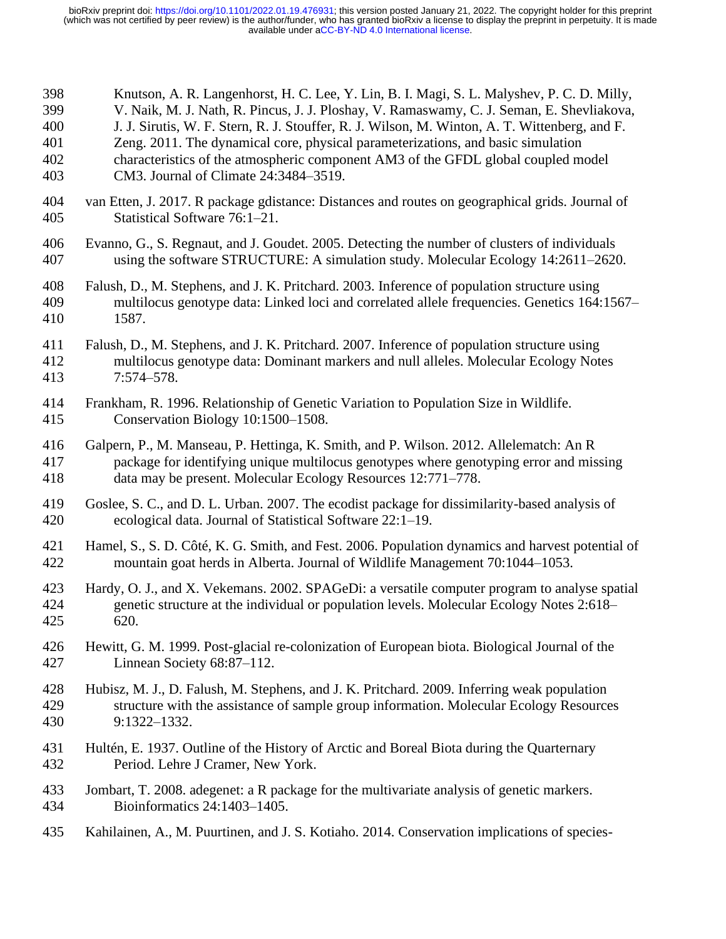| 398 | Knutson, A. R. Langenhorst, H. C. Lee, Y. Lin, B. I. Magi, S. L. Malyshev, P. C. D. Milly,       |
|-----|--------------------------------------------------------------------------------------------------|
| 399 | V. Naik, M. J. Nath, R. Pincus, J. J. Ploshay, V. Ramaswamy, C. J. Seman, E. Shevliakova,        |
| 400 | J. J. Sirutis, W. F. Stern, R. J. Stouffer, R. J. Wilson, M. Winton, A. T. Wittenberg, and F.    |
| 401 | Zeng. 2011. The dynamical core, physical parameterizations, and basic simulation                 |
| 402 | characteristics of the atmospheric component AM3 of the GFDL global coupled model                |
| 403 | CM3. Journal of Climate 24:3484-3519.                                                            |
| 404 | van Etten, J. 2017. R package gdistance: Distances and routes on geographical grids. Journal of  |
| 405 | Statistical Software 76:1-21.                                                                    |
| 406 | Evanno, G., S. Regnaut, and J. Goudet. 2005. Detecting the number of clusters of individuals     |
| 407 | using the software STRUCTURE: A simulation study. Molecular Ecology 14:2611-2620.                |
| 408 | Falush, D., M. Stephens, and J. K. Pritchard. 2003. Inference of population structure using      |
| 409 | multilocus genotype data: Linked loci and correlated allele frequencies. Genetics 164:1567-      |
| 410 | 1587.                                                                                            |
| 411 | Falush, D., M. Stephens, and J. K. Pritchard. 2007. Inference of population structure using      |
| 412 | multilocus genotype data: Dominant markers and null alleles. Molecular Ecology Notes             |
| 413 | $7:574 - 578.$                                                                                   |
| 414 | Frankham, R. 1996. Relationship of Genetic Variation to Population Size in Wildlife.             |
| 415 | Conservation Biology 10:1500-1508.                                                               |
| 416 | Galpern, P., M. Manseau, P. Hettinga, K. Smith, and P. Wilson. 2012. Allelematch: An R           |
| 417 | package for identifying unique multilocus genotypes where genotyping error and missing           |
| 418 | data may be present. Molecular Ecology Resources 12:771-778.                                     |
| 419 | Goslee, S. C., and D. L. Urban. 2007. The ecodist package for dissimilarity-based analysis of    |
| 420 | ecological data. Journal of Statistical Software 22:1-19.                                        |
| 421 | Hamel, S., S. D. Côté, K. G. Smith, and Fest. 2006. Population dynamics and harvest potential of |
| 422 | mountain goat herds in Alberta. Journal of Wildlife Management 70:1044-1053.                     |
| 423 | Hardy, O. J., and X. Vekemans. 2002. SPAGeDi: a versatile computer program to analyse spatial    |
| 424 | genetic structure at the individual or population levels. Molecular Ecology Notes 2:618–         |
| 425 | 620.                                                                                             |
| 426 | Hewitt, G. M. 1999. Post-glacial re-colonization of European biota. Biological Journal of the    |
| 427 | Linnean Society 68:87–112.                                                                       |
| 428 | Hubisz, M. J., D. Falush, M. Stephens, and J. K. Pritchard. 2009. Inferring weak population      |
| 429 | structure with the assistance of sample group information. Molecular Ecology Resources           |
| 430 | 9:1322-1332.                                                                                     |
| 431 | Hultén, E. 1937. Outline of the History of Arctic and Boreal Biota during the Quarternary        |
| 432 | Period. Lehre J Cramer, New York.                                                                |
| 433 | Jombart, T. 2008. adegenet: a R package for the multivariate analysis of genetic markers.        |
| 434 | Bioinformatics 24:1403-1405.                                                                     |
| 435 | Kahilainen, A., M. Puurtinen, and J. S. Kotiaho. 2014. Conservation implications of species-     |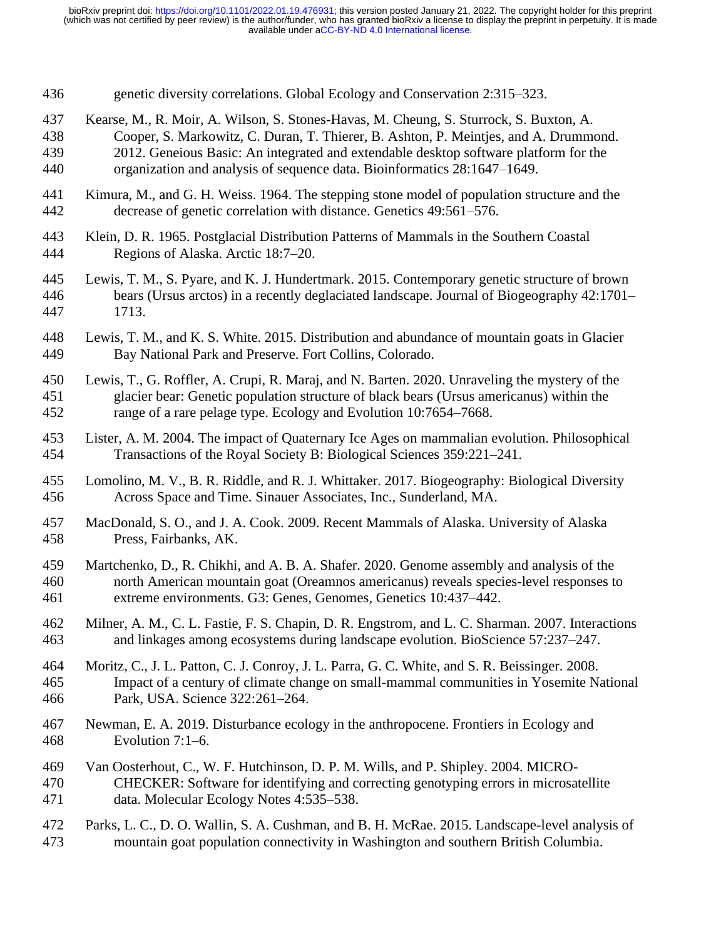- genetic diversity correlations. Global Ecology and Conservation 2:315–323.
- Kearse, M., R. Moir, A. Wilson, S. Stones-Havas, M. Cheung, S. Sturrock, S. Buxton, A.
- Cooper, S. Markowitz, C. Duran, T. Thierer, B. Ashton, P. Meintjes, and A. Drummond. 2012. Geneious Basic: An integrated and extendable desktop software platform for the
- organization and analysis of sequence data. Bioinformatics 28:1647–1649.
- 
- Kimura, M., and G. H. Weiss. 1964. The stepping stone model of population structure and the decrease of genetic correlation with distance. Genetics 49:561–576.
- Klein, D. R. 1965. Postglacial Distribution Patterns of Mammals in the Southern Coastal Regions of Alaska. Arctic 18:7–20.
- Lewis, T. M., S. Pyare, and K. J. Hundertmark. 2015. Contemporary genetic structure of brown bears (Ursus arctos) in a recently deglaciated landscape. Journal of Biogeography 42:1701– 1713.
- Lewis, T. M., and K. S. White. 2015. Distribution and abundance of mountain goats in Glacier Bay National Park and Preserve. Fort Collins, Colorado.
- Lewis, T., G. Roffler, A. Crupi, R. Maraj, and N. Barten. 2020. Unraveling the mystery of the glacier bear: Genetic population structure of black bears (Ursus americanus) within the range of a rare pelage type. Ecology and Evolution 10:7654–7668.
- Lister, A. M. 2004. The impact of Quaternary Ice Ages on mammalian evolution. Philosophical Transactions of the Royal Society B: Biological Sciences 359:221–241.
- Lomolino, M. V., B. R. Riddle, and R. J. Whittaker. 2017. Biogeography: Biological Diversity Across Space and Time. Sinauer Associates, Inc., Sunderland, MA.
- MacDonald, S. O., and J. A. Cook. 2009. Recent Mammals of Alaska. University of Alaska Press, Fairbanks, AK.
- Martchenko, D., R. Chikhi, and A. B. A. Shafer. 2020. Genome assembly and analysis of the north American mountain goat (Oreamnos americanus) reveals species-level responses to extreme environments. G3: Genes, Genomes, Genetics 10:437–442.
- Milner, A. M., C. L. Fastie, F. S. Chapin, D. R. Engstrom, and L. C. Sharman. 2007. Interactions and linkages among ecosystems during landscape evolution. BioScience 57:237–247.
- Moritz, C., J. L. Patton, C. J. Conroy, J. L. Parra, G. C. White, and S. R. Beissinger. 2008. Impact of a century of climate change on small-mammal communities in Yosemite National Park, USA. Science 322:261–264.
- Newman, E. A. 2019. Disturbance ecology in the anthropocene. Frontiers in Ecology and Evolution 7:1–6.
- Van Oosterhout, C., W. F. Hutchinson, D. P. M. Wills, and P. Shipley. 2004. MICRO-CHECKER: Software for identifying and correcting genotyping errors in microsatellite
- Parks, L. C., D. O. Wallin, S. A. Cushman, and B. H. McRae. 2015. Landscape-level analysis of mountain goat population connectivity in Washington and southern British Columbia.

data. Molecular Ecology Notes 4:535–538.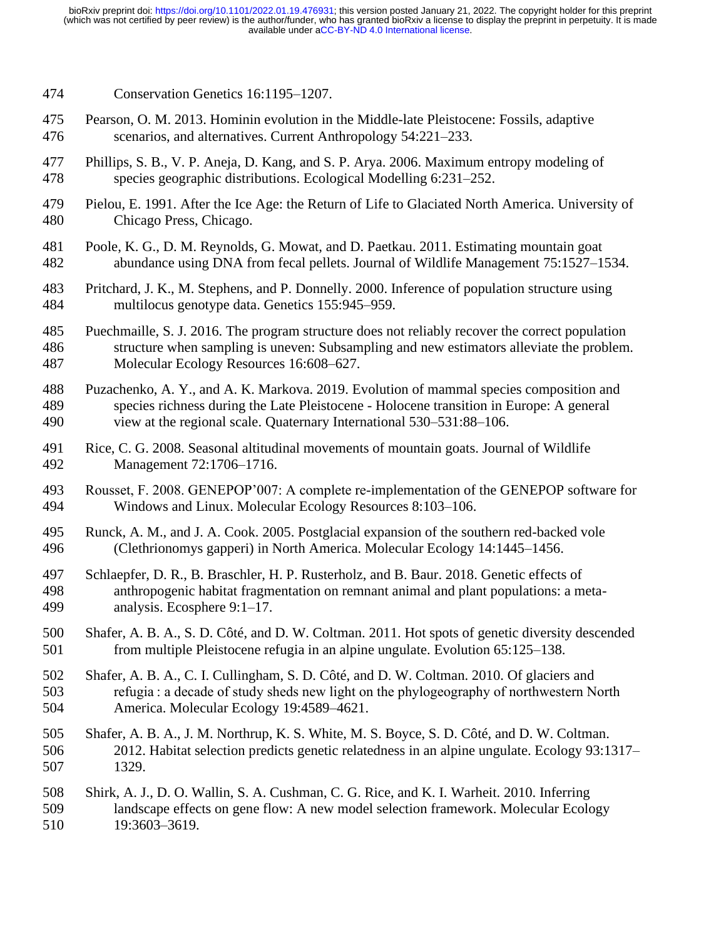- Conservation Genetics 16:1195–1207.
- Pearson, O. M. 2013. Hominin evolution in the Middle-late Pleistocene: Fossils, adaptive scenarios, and alternatives. Current Anthropology 54:221–233.
- Phillips, S. B., V. P. Aneja, D. Kang, and S. P. Arya. 2006. Maximum entropy modeling of species geographic distributions. Ecological Modelling 6:231–252.
- Pielou, E. 1991. After the Ice Age: the Return of Life to Glaciated North America. University of Chicago Press, Chicago.
- Poole, K. G., D. M. Reynolds, G. Mowat, and D. Paetkau. 2011. Estimating mountain goat abundance using DNA from fecal pellets. Journal of Wildlife Management 75:1527–1534.
- Pritchard, J. K., M. Stephens, and P. Donnelly. 2000. Inference of population structure using multilocus genotype data. Genetics 155:945–959.
- Puechmaille, S. J. 2016. The program structure does not reliably recover the correct population structure when sampling is uneven: Subsampling and new estimators alleviate the problem. Molecular Ecology Resources 16:608–627.
- Puzachenko, A. Y., and A. K. Markova. 2019. Evolution of mammal species composition and species richness during the Late Pleistocene - Holocene transition in Europe: A general view at the regional scale. Quaternary International 530–531:88–106.
- Rice, C. G. 2008. Seasonal altitudinal movements of mountain goats. Journal of Wildlife Management 72:1706–1716.
- Rousset, F. 2008. GENEPOP'007: A complete re-implementation of the GENEPOP software for Windows and Linux. Molecular Ecology Resources 8:103–106.
- Runck, A. M., and J. A. Cook. 2005. Postglacial expansion of the southern red-backed vole (Clethrionomys gapperi) in North America. Molecular Ecology 14:1445–1456.
- Schlaepfer, D. R., B. Braschler, H. P. Rusterholz, and B. Baur. 2018. Genetic effects of anthropogenic habitat fragmentation on remnant animal and plant populations: a meta-analysis. Ecosphere 9:1–17.
- Shafer, A. B. A., S. D. Côté, and D. W. Coltman. 2011. Hot spots of genetic diversity descended from multiple Pleistocene refugia in an alpine ungulate. Evolution 65:125–138.
- Shafer, A. B. A., C. I. Cullingham, S. D. Côté, and D. W. Coltman. 2010. Of glaciers and refugia : a decade of study sheds new light on the phylogeography of northwestern North America. Molecular Ecology 19:4589–4621.
- Shafer, A. B. A., J. M. Northrup, K. S. White, M. S. Boyce, S. D. Côté, and D. W. Coltman. 2012. Habitat selection predicts genetic relatedness in an alpine ungulate. Ecology 93:1317– 1329.
- Shirk, A. J., D. O. Wallin, S. A. Cushman, C. G. Rice, and K. I. Warheit. 2010. Inferring landscape effects on gene flow: A new model selection framework. Molecular Ecology 19:3603–3619.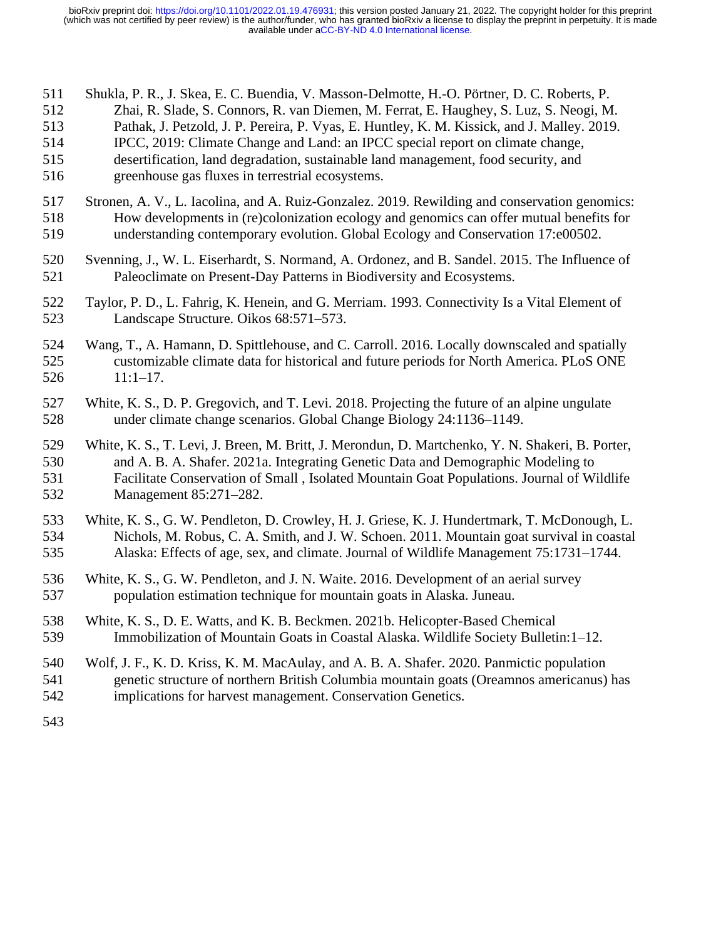- Shukla, P. R., J. Skea, E. C. Buendia, V. Masson-Delmotte, H.-O. Pörtner, D. C. Roberts, P.
- Zhai, R. Slade, S. Connors, R. van Diemen, M. Ferrat, E. Haughey, S. Luz, S. Neogi, M.
- Pathak, J. Petzold, J. P. Pereira, P. Vyas, E. Huntley, K. M. Kissick, and J. Malley. 2019.
- IPCC, 2019: Climate Change and Land: an IPCC special report on climate change,
- desertification, land degradation, sustainable land management, food security, and greenhouse gas fluxes in terrestrial ecosystems.
- Stronen, A. V., L. Iacolina, and A. Ruiz-Gonzalez. 2019. Rewilding and conservation genomics: How developments in (re)colonization ecology and genomics can offer mutual benefits for understanding contemporary evolution. Global Ecology and Conservation 17:e00502.
- Svenning, J., W. L. Eiserhardt, S. Normand, A. Ordonez, and B. Sandel. 2015. The Influence of Paleoclimate on Present-Day Patterns in Biodiversity and Ecosystems.
- Taylor, P. D., L. Fahrig, K. Henein, and G. Merriam. 1993. Connectivity Is a Vital Element of Landscape Structure. Oikos 68:571–573.
- Wang, T., A. Hamann, D. Spittlehouse, and C. Carroll. 2016. Locally downscaled and spatially customizable climate data for historical and future periods for North America. PLoS ONE 11:1–17.
- White, K. S., D. P. Gregovich, and T. Levi. 2018. Projecting the future of an alpine ungulate under climate change scenarios. Global Change Biology 24:1136–1149.
- White, K. S., T. Levi, J. Breen, M. Britt, J. Merondun, D. Martchenko, Y. N. Shakeri, B. Porter, and A. B. A. Shafer. 2021a. Integrating Genetic Data and Demographic Modeling to Facilitate Conservation of Small , Isolated Mountain Goat Populations. Journal of Wildlife Management 85:271–282.
- White, K. S., G. W. Pendleton, D. Crowley, H. J. Griese, K. J. Hundertmark, T. McDonough, L. Nichols, M. Robus, C. A. Smith, and J. W. Schoen. 2011. Mountain goat survival in coastal Alaska: Effects of age, sex, and climate. Journal of Wildlife Management 75:1731–1744.
- White, K. S., G. W. Pendleton, and J. N. Waite. 2016. Development of an aerial survey population estimation technique for mountain goats in Alaska. Juneau.
- White, K. S., D. E. Watts, and K. B. Beckmen. 2021b. Helicopter-Based Chemical Immobilization of Mountain Goats in Coastal Alaska. Wildlife Society Bulletin:1–12.
- Wolf, J. F., K. D. Kriss, K. M. MacAulay, and A. B. A. Shafer. 2020. Panmictic population
- genetic structure of northern British Columbia mountain goats (Oreamnos americanus) has implications for harvest management. Conservation Genetics.
-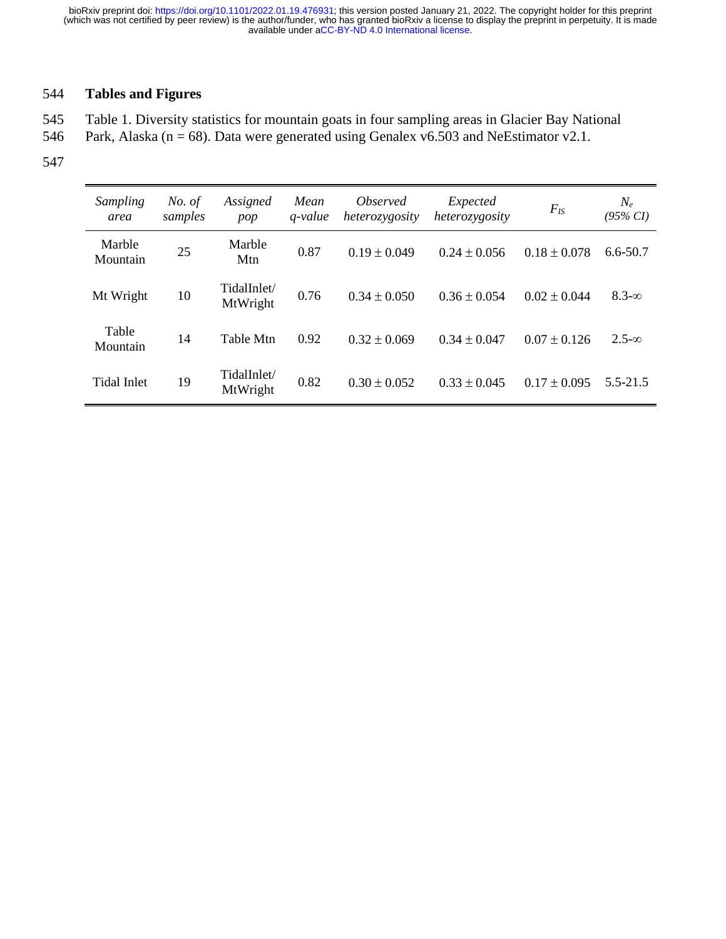## 544 **Tables and Figures**

545 Table 1. Diversity statistics for mountain goats in four sampling areas in Glacier Bay National

- 546 Park, Alaska ( $n = 68$ ). Data were generated using Genalex v6.503 and NeEstimator v2.1.
- 547

| Sampling<br>area   | No. of<br>samples | Assigned<br>pop         | Mean<br>$q$ -value | <i>Observed</i><br>heterozygosity | Expected<br>heterozygosity | $F_{IS}$         | $N_e$<br>$(95\% CI)$ |
|--------------------|-------------------|-------------------------|--------------------|-----------------------------------|----------------------------|------------------|----------------------|
| Marble<br>Mountain | 25                | Marble<br>Mtn           | 0.87               | $0.19 \pm 0.049$                  | $0.24 + 0.056$             | $0.18 \pm 0.078$ | $6.6 - 50.7$         |
| Mt Wright          | 10                | TidalInlet/<br>MtWright | 0.76               | $0.34 + 0.050$                    | $0.36 \pm 0.054$           | $0.02 \pm 0.044$ | $8.3-\infty$         |
| Table<br>Mountain  | 14                | <b>Table Mtn</b>        | 0.92               | $0.32 + 0.069$                    | $0.34 + 0.047$             | $0.07 \pm 0.126$ | $2.5-\infty$         |
| Tidal Inlet        | 19                | TidalInlet/<br>MtWright | 0.82               | $0.30 + 0.052$                    | $0.33 + 0.045$             | $0.17 \pm 0.095$ | $5.5 - 21.5$         |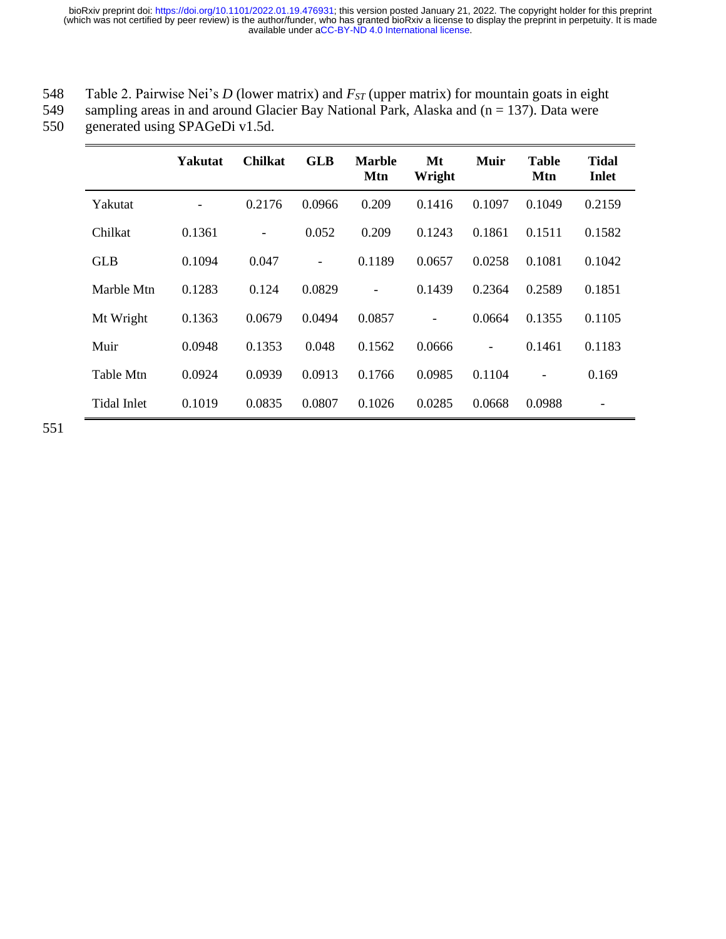| 548 |                                                                                                  |  |  |  |
|-----|--------------------------------------------------------------------------------------------------|--|--|--|
|     | Table 2. Pairwise Nei's D (lower matrix) and $F_{ST}$ (upper matrix) for mountain goats in eight |  |  |  |

549 sampling areas in and around Glacier Bay National Park, Alaska and  $(n = 137)$ . Data were generated using SPAGeDi v1.5d.

generated using SPAGeDi v1.5d.

|                    | Yakutat | <b>Chilkat</b> | <b>GLB</b>                   | <b>Marble</b><br>Mtn | Mt<br>Wright | Muir                         | <b>Table</b><br>Mtn | Tidal<br>Inlet |
|--------------------|---------|----------------|------------------------------|----------------------|--------------|------------------------------|---------------------|----------------|
| Yakutat            |         | 0.2176         | 0.0966                       | 0.209                | 0.1416       | 0.1097                       | 0.1049              | 0.2159         |
| Chilkat            | 0.1361  |                | 0.052                        | 0.209                | 0.1243       | 0.1861                       | 0.1511              | 0.1582         |
| <b>GLB</b>         | 0.1094  | 0.047          | $\qquad \qquad \blacksquare$ | 0.1189               | 0.0657       | 0.0258                       | 0.1081              | 0.1042         |
| Marble Mtn         | 0.1283  | 0.124          | 0.0829                       |                      | 0.1439       | 0.2364                       | 0.2589              | 0.1851         |
| Mt Wright          | 0.1363  | 0.0679         | 0.0494                       | 0.0857               |              | 0.0664                       | 0.1355              | 0.1105         |
| Muir               | 0.0948  | 0.1353         | 0.048                        | 0.1562               | 0.0666       | $\qquad \qquad \blacksquare$ | 0.1461              | 0.1183         |
| Table Mtn          | 0.0924  | 0.0939         | 0.0913                       | 0.1766               | 0.0985       | 0.1104                       |                     | 0.169          |
| <b>Tidal Inlet</b> | 0.1019  | 0.0835         | 0.0807                       | 0.1026               | 0.0285       | 0.0668                       | 0.0988              | -              |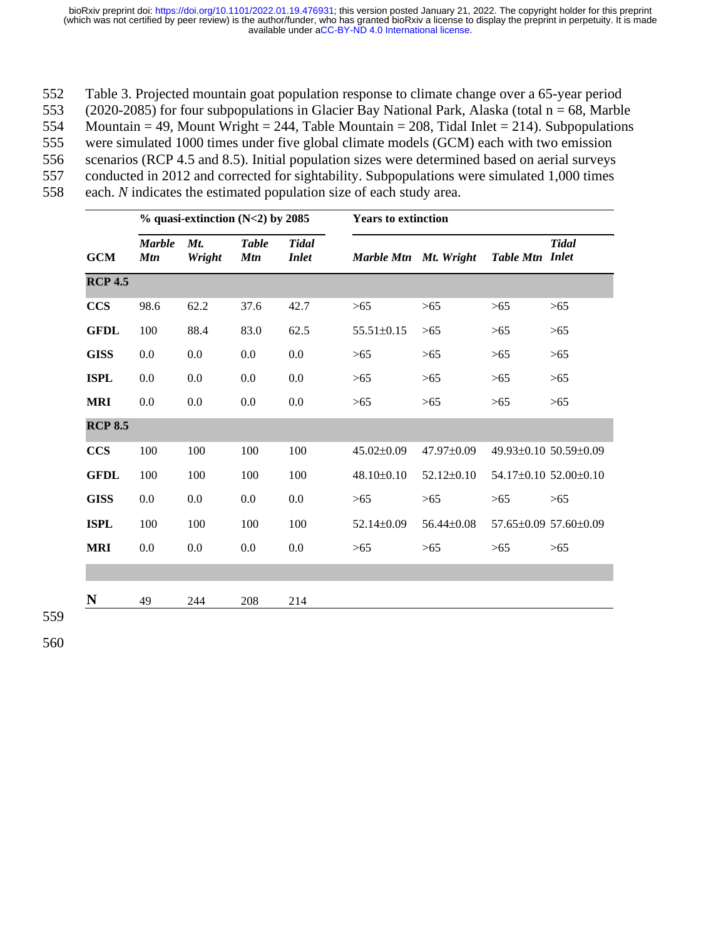Table 3. Projected mountain goat population response to climate change over a 65-year period (2020-2085) for four subpopulations in Glacier Bay National Park, Alaska (total n = 68, Marble 554 Mountain = 49, Mount Wright = 244, Table Mountain = 208, Tidal Inlet = 214). Subpopulations were simulated 1000 times under five global climate models (GCM) each with two emission scenarios (RCP 4.5 and 8.5). Initial population sizes were determined based on aerial surveys conducted in 2012 and corrected for sightability. Subpopulations were simulated 1,000 times each. *N* indicates the estimated population size of each study area.

|                | $%$ quasi-extinction (N<2) by 2085 |               |                            |                              | <b>Years to extinction</b> |                  |                 |                               |  |
|----------------|------------------------------------|---------------|----------------------------|------------------------------|----------------------------|------------------|-----------------|-------------------------------|--|
| <b>GCM</b>     | <b>Marble</b><br><b>Mtn</b>        | Mt.<br>Wright | <b>Table</b><br><b>Mtn</b> | <b>Tidal</b><br><i>Inlet</i> | Marble Mtn Mt. Wright      |                  | Table Mtn Inlet | <b>Tidal</b>                  |  |
| <b>RCP 4.5</b> |                                    |               |                            |                              |                            |                  |                 |                               |  |
| <b>CCS</b>     | 98.6                               | 62.2          | 37.6                       | 42.7                         | >65                        | $>65$            | $>65$           | >65                           |  |
| <b>GFDL</b>    | 100                                | 88.4          | 83.0                       | 62.5                         | 55.51±0.15                 | $>65$            | $>65$           | >65                           |  |
| <b>GISS</b>    | 0.0                                | 0.0           | 0.0                        | 0.0                          | >65                        | >65              | $>65$           | >65                           |  |
| <b>ISPL</b>    | 0.0                                | 0.0           | 0.0                        | 0.0                          | >65                        | >65              | >65             | >65                           |  |
| <b>MRI</b>     | 0.0                                | 0.0           | 0.0                        | 0.0                          | >65                        | $>65$            | $>65$           | $>65$                         |  |
| <b>RCP 8.5</b> |                                    |               |                            |                              |                            |                  |                 |                               |  |
| <b>CCS</b>     | 100                                | 100           | 100                        | 100                          | $45.02 \pm 0.09$           | 47.97±0.09       |                 | 49.93±0.10 50.59±0.09         |  |
| <b>GFDL</b>    | 100                                | 100           | 100                        | 100                          | 48.10±0.10                 | $52.12 \pm 0.10$ |                 | 54.17±0.10 52.00±0.10         |  |
| <b>GISS</b>    | 0.0                                | $0.0\,$       | 0.0                        | 0.0                          | >65                        | >65              | $>65$           | >65                           |  |
| <b>ISPL</b>    | 100                                | 100           | 100                        | 100                          | 52.14±0.09                 | $56.44 \pm 0.08$ |                 | $57.65\pm0.09$ $57.60\pm0.09$ |  |
| <b>MRI</b>     | 0.0                                | 0.0           | 0.0                        | 0.0                          | $>65$                      | $>65$            | >65             | >65                           |  |
|                |                                    |               |                            |                              |                            |                  |                 |                               |  |
| N              | 49                                 | 244           | 208                        | 214                          |                            |                  |                 |                               |  |

559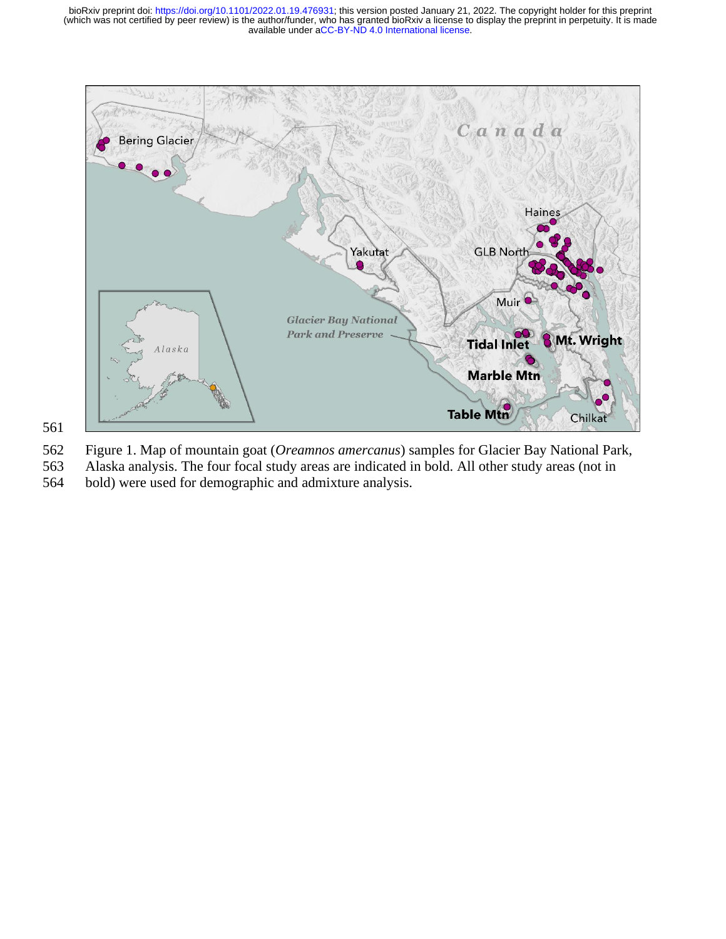

562 Figure 1. Map of mountain goat (*Oreamnos amercanus*) samples for Glacier Bay National Park,

- 563 Alaska analysis. The four focal study areas are indicated in bold. All other study areas (not in
- 564 bold) were used for demographic and admixture analysis.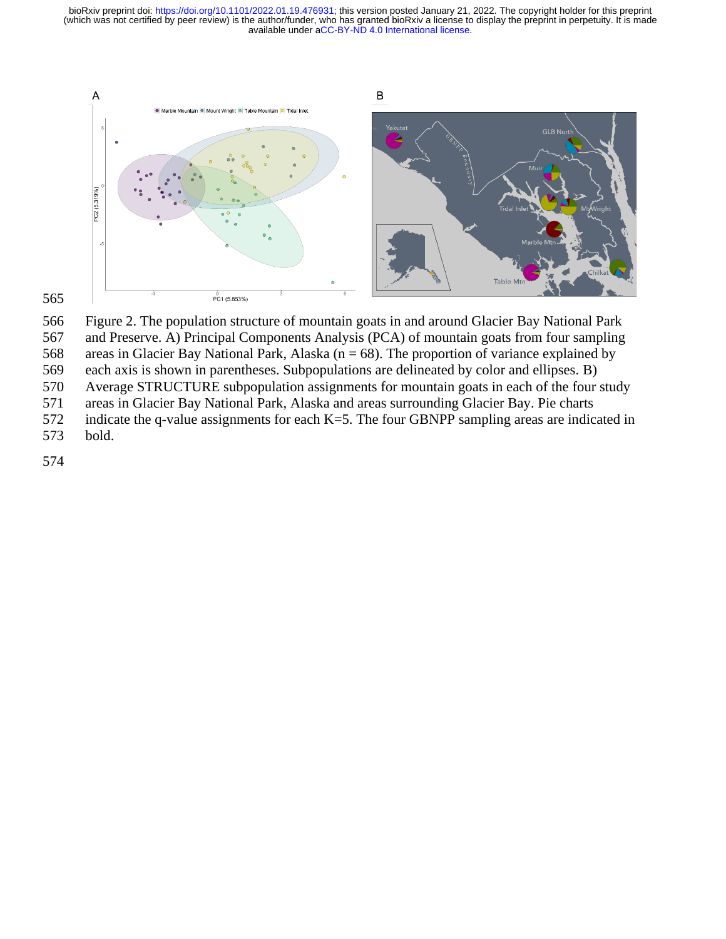

Figure 2. The population structure of mountain goats in and around Glacier Bay National Park

and Preserve. A) Principal Components Analysis (PCA) of mountain goats from four sampling

568 areas in Glacier Bay National Park, Alaska ( $n = 68$ ). The proportion of variance explained by

each axis is shown in parentheses. Subpopulations are delineated by color and ellipses. B)

Average STRUCTURE subpopulation assignments for mountain goats in each of the four study

areas in Glacier Bay National Park, Alaska and areas surrounding Glacier Bay. Pie charts

indicate the q-value assignments for each K=5. The four GBNPP sampling areas are indicated in

bold.